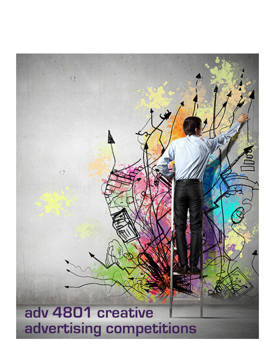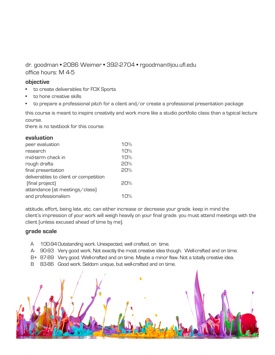```
dr. goodman • 2086 Weimer • 392-2704 • rgoodman@jou.ufl.edu
office hours: M 4-5
```
# **objective**

- to create deliverables for FOX Sports
- to hone creative skills
- to prepare a professional pitch for a client and/or create a professional presentation package

this course is meant to inspire creativity and work more like a studio portfolio class than a typical lecture course.

there is no textbook for this course.

# **evaluation**

| peer evaluation                       | 10%         |
|---------------------------------------|-------------|
| research                              | 10%         |
| mid-term check in                     | 10%         |
| rough drafts                          | 20%         |
| final presentation                    | 20%         |
| deliverables to client or competition |             |
| (final project)                       | 20%         |
| attendance (at meetings/class)        |             |
| and professionalism                   | $1\Omega\%$ |

attitude, effort, being late, etc. can either increase or decrease your grade. keep in mind the client's impression of your work will weigh heavily on your final grade. you must attend meetings with the client (unless excused ahead of time by me).

# **grade scale**

- A 100-94Outstanding work. Unexpected, well crafted, on time.
- A- 90-93 Very good work. Not exactly the most creative idea though. Well-crafted and on time.
- B+ 87-89 Very good. Well-crafted and on time. Maybe a minor flaw. Not a totally creative idea.
- B 83-86 Good work. Seldom unique, but well-crafted and on time.

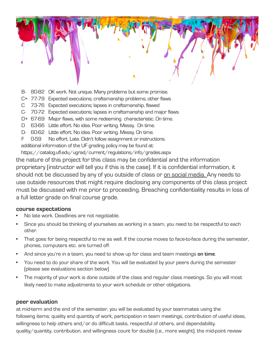- B- 80-82 OK work. Not unique. Many problems but some promise.
- C+ 77-79 Expected executions; craftsmanship problems; other flaws
- C 73-76 Expected executions; lapses in craftsmanship, flawed
- C- 70-72 Expected executions; lapses in craftsmanship and major flaws
- D+ 67-69 Major flaws, with some redeeming characteristic. On time.
- D 63-66 Little effort. No idea. Poor writing. Messy. On time.
- D- 60-62 Little effort. No idea. Poor writing. Messy. On time.
- F 0-59 No effort. Late. Didn't follow assignment or instructions.

additional information of the UF grading policy may be found at:

https://catalog.ufl.edu/ugrad/current/regulations/info/grades.aspx

the nature of this project for this class may be confidential and the information proprietary (instructor will tell you if this is the case). If it is confidential information, it should not be discussed by any of you outside of class or on social media. Any needs to use outside resources that might require disclosing any components of this class project must be discussed with me prior to proceeding. Breaching confidentiality results in loss of a full letter grade on final course grade.

### **course expectations**

- No late work. Deadlines are not negotiable.
- Since you should be thinking of yourselves as working in a team, you need to be respectful to each other.
- That goes for being respectful to me as well. If the course moves to face-to-face during the semester, phones, computers etc. are turned off.
- And since you're in a team, you need to show up for class and team meetings **on time**.
- You need to do your share of the work. You will be evaluated by your peers during the semester (please see evaluations section below)
- The majority of your work is done outside of the class and regular class meetings. So you will most likely need to make adjustments to your work schedule or other obligations.

### **peer evaluation**

at mid-term and the end of the semester, you will be evaluated by your teammates using the following items: quality and quantity of work, participation in team meetings, contribution of useful ideas, willingness to help others and/or do difficult tasks, respectful of others, and dependability. quality/quantity, contribution, and willingness count for double (i.e., more weight). the mid-point review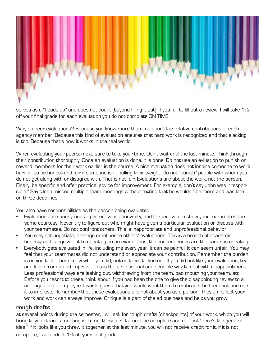

serves as a "heads up" and does not count (beyond filling it out). if you fail to fill out a review, I will take 1% off your final grade for each evaluation you do not complete ON TIME.

Why do peer evaluations? Because you know more than I do about the relative contributions of each agency member. Because this kind of evaluation ensures that hard work is recognized and that slacking is too. Because that's how it works in the real world.

When evaluating your peers, make sure to take your time. Don't wait until the last minute. Think through their contribution thoroughly. Once an evaluation is done, it is done. Do not use an evluation to punish or reward members for their work earlier in the course. A nice evaluation does not inspire someone to work harder, so be honest and fair if someone isn't pulling their weight. Do not "punish" people with whom you do not get along with or disagree with. That is not fair. Evaluations are about the work, not the person. Finally, be specific and offer practical advice for improvement. For example, don't say John was irresponsible." Say "John missed multiple team meetings without texting that he wouldn't be there and was late on three deadlines."

You also have responsibilities as the person being evaluated.

- Evaluations are anonymous. I protect your anonymity, and I expect you to show your teammates the same courtesy. Never try to figure out who might have given a particular evaluation or discuss with your teammates. Do not confront others. This is inappropriate and unprofessional behavior.
- You may not negotiate, arrange or influence others' evaluations. This is a breach of academic honesty and is equivalent to cheating on an exam. Thus, the consequences are the same as cheating.
- Everybody gets evaluated in life, including me every year. It can be painful. It can seem unfair. You may feel that your teammates did not understand or appreciate your contribution. Remember the burden is on you to let them know what you did, not on them to find out. If you did not like your evaluation, try and learn from it and improve. This is the professional and sensible way to deal with disappointment. Less professional ways are lashing out, withdrawing from the team, bad mouthing your team, etc. Before you resort to these, think about if you had been the one to give the disappointing review to a colleague or an employee. I would guess that you would want them to embrace the feedback and use it to improve. Remember that these evaluations are not about you as a person. They on reflect your work and work can always improve. Critique is a part of the ad business and helps you grow.

# **rough drafts**

at several points during the semester, I will ask for rough drafts (checkpoints) of your work, which you will bring to your team's meeting with me. these drafts must be complete and not just "here's the general idea." if it looks like you threw it together at the last minute, you will not receive credit for it. if it is not complete, I will deduct 1% off your final grade.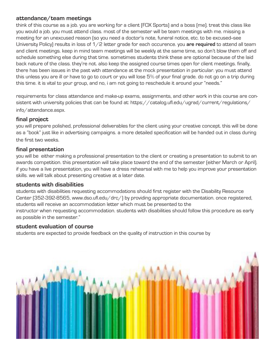# **attendance/team meetings**

think of this course as a job. you are working for a client (FOX Sports) and a boss (me). treat this class like you would a job. you must attend class. most of the semester will be team meetings with me. missing a meeting for an unexcused reason (so you need a doctor's note, funeral notice, etc. to be excused--see University Policy) results in loss of 1/2 letter grade for each occurence. you **are required** to attend all team and client meetings. keep in mind team meetings will be weekly at the same time, so don't blow them off and schedule something else during that time. sometimes students think these are optional because of the laid back nature of the class. they're not. also keep the assigned course times open for client meetings. finally, there has been issues in the past with attendance at the mock presentation in particular. you must attend this unless you are ill or have to go to court or you will lose 5% of your final grade. do not go on a trip during this time. it is vital to your group, and no, i am not going to reschedule it around your "needs."

requirements for class attendance and make-up exams, assignments, and other work in this course are consistent with university policies that can be found at: https://catalog.ufl.edu/ugrad/current/regulations/ info/attendance.aspx.

# **final project**

you will prepare polished, professional deliverables for the client using your creative concept. this will be done as a "book" just like in advertising campaigns. a more detailed specification will be handed out in class during the first two weeks.

### **final presentation**

you will be either making a professional presentation to the client or creating a presentation to submit to an awards competition. this presentation will take place toward the end of the semester (either March or April). if you have a live presentation, you will have a dress rehearsal with me to help you improve your presentation skills. we will talk about presenting creative at a later date.

### **students with disabilities**

students with disabilities requesting accommodations should first register with the Disability Resource Center (352-392-8565, www.dso.ufl.edu/drc/) by providing appropriate documentation. once registered, students will receive an accommodation letter which must be presented to the instructor when requesting accommodation. students with disabilities should follow this procedure as early as possible in the semester."

# **student evaluation of course**

students are expected to provide feedback on the quality of instruction in this course by

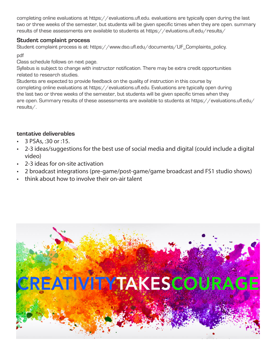completing online evaluations at https://evaluations.ufl.edu. evaluations are typically open during the last two or three weeks of the semester, but students will be given specific times when they are open. summary results of these assessments are available to students at https://evluations.ufl.edu/results/

# **Student complaint process**

Student complaint process is at: https://www.dso.ufl.edu/documents/UF\_Complaints\_policy. pdf

Class schedule follows on next page.

Syllabus is subject to change with instructor notification. There may be extra credit opportunities related to research studies.

Students are expected to provide feedback on the quality of instruction in this course by completing online evaluations at https://evaluations.ufl.edu. Evaluations are typically open during the last two or three weeks of the semester, but students will be given specific times when they are open. Summary results of these assessments are available to students at https://evaluations.ufl.edu/ results/.

# **tentative deliverables**

- 3 PSAs, :30 or :15.
- 2-3 ideas/suggestions for the best use of social media and digital (could include a digital video)
- 2-3 ideas for on-site activation
- 2 broadcast integrations (pre-game/post-game/game broadcast and FS1 studio shows)
- think about how to involve their on-air talent

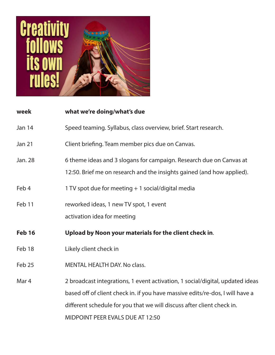

| week             | what we're doing/what's due                                                   |
|------------------|-------------------------------------------------------------------------------|
| <b>Jan 14</b>    | Speed teaming. Syllabus, class overview, brief. Start research.               |
| <b>Jan 21</b>    | Client briefing. Team member pics due on Canvas.                              |
| Jan. 28          | 6 theme ideas and 3 slogans for campaign. Research due on Canvas at           |
|                  | 12:50. Brief me on research and the insights gained (and how applied).        |
| Feb 4            | 1 TV spot due for meeting + 1 social/digital media                            |
| Feb 11           | reworked ideas, 1 new TV spot, 1 event                                        |
|                  | activation idea for meeting                                                   |
| <b>Feb 16</b>    | Upload by Noon your materials for the client check in.                        |
| Feb 18           | Likely client check in                                                        |
| Feb 25           | <b>MENTAL HEALTH DAY. No class.</b>                                           |
| Mar <sub>4</sub> | 2 broadcast integrations, 1 event activation, 1 social/digital, updated ideas |
|                  | based off of client check in. if you have massive edits/re-dos, I will have a |
|                  | different schedule for you that we will discuss after client check in.        |
|                  | <b>MIDPOINT PEER EVALS DUE AT 12:50</b>                                       |